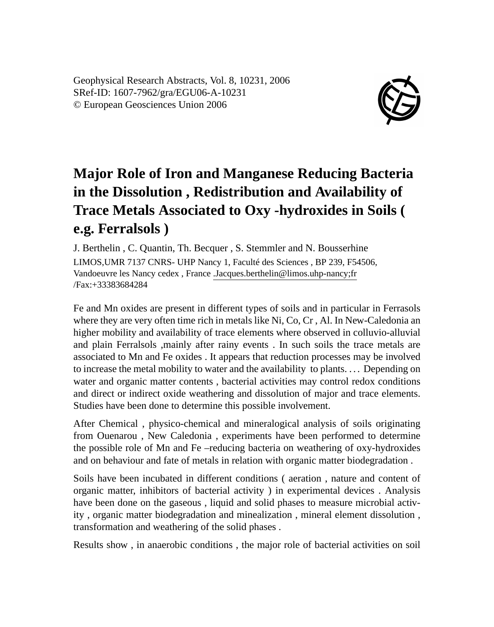Geophysical Research Abstracts, Vol. 8, 10231, 2006 SRef-ID: 1607-7962/gra/EGU06-A-10231 © European Geosciences Union 2006



## **Major Role of Iron and Manganese Reducing Bacteria in the Dissolution , Redistribution and Availability of Trace Metals Associated to Oxy -hydroxides in Soils ( e.g. Ferralsols )**

J. Berthelin , C. Quantin, Th. Becquer , S. Stemmler and N. Bousserhine LIMOS,UMR 7137 CNRS- UHP Nancy 1, Faculté des Sciences , BP 239, F54506, Vandoeuvre les Nancy cedex , France .Jacques.berthelin@limos.uhp-nancy;fr /Fax:+33383684284

Fe and Mn oxides are present in different types of soils and in particular in Ferrasols where they are very often time rich in metals like Ni, Co, Cr , Al. In New-Caledonia an higher mobility and availability of trace elements where observed in colluvio-alluvial and plain Ferralsols ,mainly after rainy events . In such soils the trace metals are associated to Mn and Fe oxides . It appears that reduction processes may be involved to increase the metal mobility to water and the availability to plants. . . . Depending on water and organic matter contents , bacterial activities may control redox conditions and direct or indirect oxide weathering and dissolution of major and trace elements. Studies have been done to determine this possible involvement.

After Chemical , physico-chemical and mineralogical analysis of soils originating from Ouenarou , New Caledonia , experiments have been performed to determine the possible role of Mn and Fe –reducing bacteria on weathering of oxy-hydroxides and on behaviour and fate of metals in relation with organic matter biodegradation .

Soils have been incubated in different conditions ( aeration , nature and content of organic matter, inhibitors of bacterial activity ) in experimental devices . Analysis have been done on the gaseous , liquid and solid phases to measure microbial activity , organic matter biodegradation and minealization , mineral element dissolution , transformation and weathering of the solid phases .

Results show , in anaerobic conditions , the major role of bacterial activities on soil